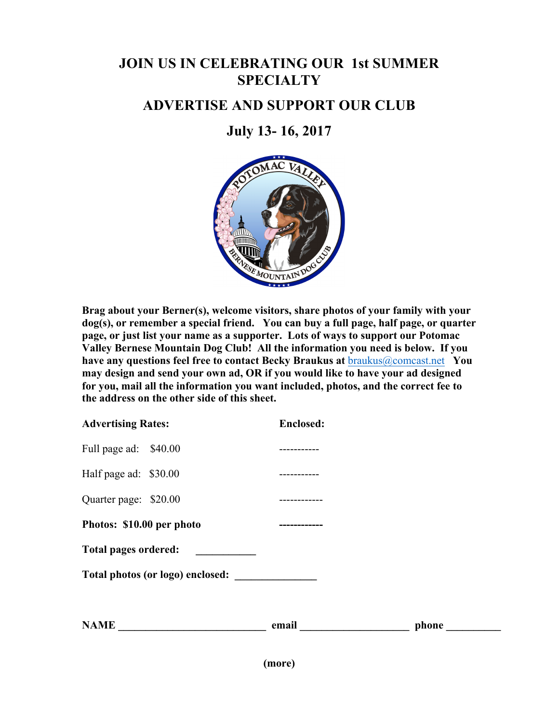# **JOIN US IN CELEBRATING OUR 1st SUMMER SPECIALTY**

## **ADVERTISE AND SUPPORT OUR CLUB**

# **July 13- 16, 2017**



**Brag about your Berner(s), welcome visitors, share photos of your family with your dog(s), or remember a special friend. You can buy a full page, half page, or quarter page, or just list your name as a supporter. Lots of ways to support our Potomac Valley Bernese Mountain Dog Club! All the information you need is below. If you have any questions feel free to contact Becky Braukus at** braukus@comcast.net **You may design and send your own ad, OR if you would like to have your ad designed for you, mail all the information you want included, photos, and the correct fee to the address on the other side of this sheet.**

| <b>Advertising Rates:</b>        |  | <b>Enclosed:</b> |       |  |
|----------------------------------|--|------------------|-------|--|
| Full page ad: \$40.00            |  |                  |       |  |
| Half page ad: \$30.00            |  |                  |       |  |
| Quarter page: \$20.00            |  |                  |       |  |
| Photos: \$10.00 per photo        |  |                  |       |  |
| Total pages ordered:             |  |                  |       |  |
| Total photos (or logo) enclosed: |  |                  |       |  |
|                                  |  |                  |       |  |
| <b>NAME</b>                      |  | email            | phone |  |